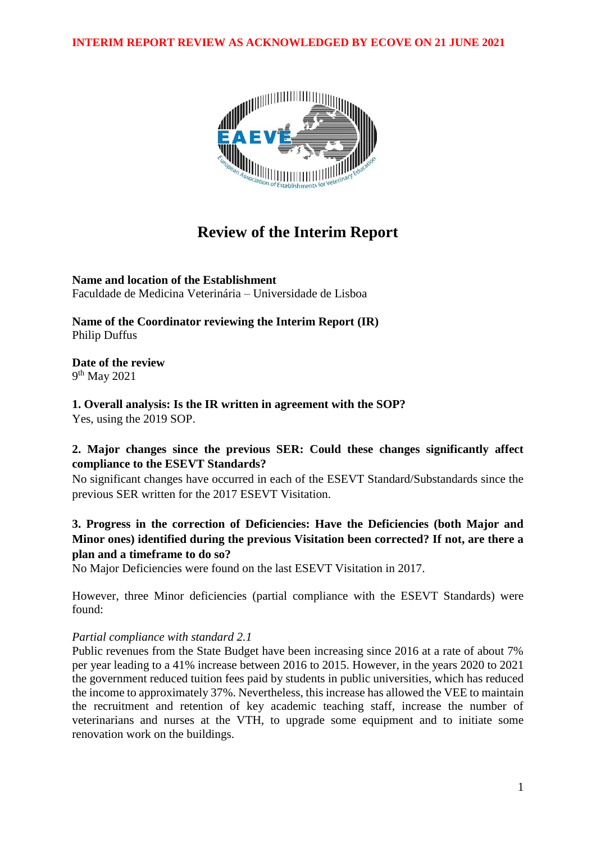**INTERIM REPORT REVIEW AS ACKNOWLEDGED BY ECOVE ON 21 JUNE 2021**



# **Review of the Interim Report**

**Name and location of the Establishment** Faculdade de Medicina Veterinária – Universidade de Lisboa

**Name of the Coordinator reviewing the Interim Report (IR)** Philip Duffus

**Date of the review** 9<sup>th</sup> May 2021

**1. Overall analysis: Is the IR written in agreement with the SOP?** Yes, using the 2019 SOP.

# **2. Major changes since the previous SER: Could these changes significantly affect compliance to the ESEVT Standards?**

No significant changes have occurred in each of the ESEVT Standard/Substandards since the previous SER written for the 2017 ESEVT Visitation.

# **3. Progress in the correction of Deficiencies: Have the Deficiencies (both Major and Minor ones) identified during the previous Visitation been corrected? If not, are there a plan and a timeframe to do so?**

No Major Deficiencies were found on the last ESEVT Visitation in 2017.

However, three Minor deficiencies (partial compliance with the ESEVT Standards) were found:

## *Partial compliance with standard 2.1*

Public revenues from the State Budget have been increasing since 2016 at a rate of about 7% per year leading to a 41% increase between 2016 to 2015. However, in the years 2020 to 2021 the government reduced tuition fees paid by students in public universities, which has reduced the income to approximately 37%. Nevertheless, this increase has allowed the VEE to maintain the recruitment and retention of key academic teaching staff, increase the number of veterinarians and nurses at the VTH, to upgrade some equipment and to initiate some renovation work on the buildings.